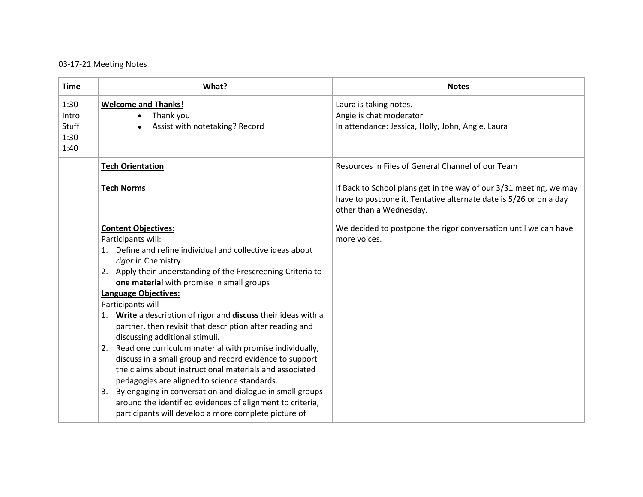## 03-17-21 Meeting Notes

| <b>Time</b>                               | What?                                                                                                                                                                                                                                                                                                                                                                                                                                                                                                                                                                                                                                                                                                                                                                                                                                                                                     | <b>Notes</b>                                                                                                                                                                                                            |
|-------------------------------------------|-------------------------------------------------------------------------------------------------------------------------------------------------------------------------------------------------------------------------------------------------------------------------------------------------------------------------------------------------------------------------------------------------------------------------------------------------------------------------------------------------------------------------------------------------------------------------------------------------------------------------------------------------------------------------------------------------------------------------------------------------------------------------------------------------------------------------------------------------------------------------------------------|-------------------------------------------------------------------------------------------------------------------------------------------------------------------------------------------------------------------------|
| 1:30<br>Intro<br>Stuff<br>$1:30-$<br>1:40 | <b>Welcome and Thanks!</b><br>Thank you<br>$\bullet$<br>Assist with notetaking? Record                                                                                                                                                                                                                                                                                                                                                                                                                                                                                                                                                                                                                                                                                                                                                                                                    | Laura is taking notes.<br>Angie is chat moderator<br>In attendance: Jessica, Holly, John, Angie, Laura                                                                                                                  |
|                                           | <b>Tech Orientation</b><br><b>Tech Norms</b>                                                                                                                                                                                                                                                                                                                                                                                                                                                                                                                                                                                                                                                                                                                                                                                                                                              | Resources in Files of General Channel of our Team<br>If Back to School plans get in the way of our 3/31 meeting, we may<br>have to postpone it. Tentative alternate date is 5/26 or on a day<br>other than a Wednesday. |
|                                           | <b>Content Objectives:</b><br>Participants will:<br>1. Define and refine individual and collective ideas about<br>rigor in Chemistry<br>2. Apply their understanding of the Prescreening Criteria to<br>one material with promise in small groups<br>Language Objectives:<br>Participants will<br>1. Write a description of rigor and discuss their ideas with a<br>partner, then revisit that description after reading and<br>discussing additional stimuli.<br>2. Read one curriculum material with promise individually,<br>discuss in a small group and record evidence to support<br>the claims about instructional materials and associated<br>pedagogies are aligned to science standards.<br>By engaging in conversation and dialogue in small groups<br>3.<br>around the identified evidences of alignment to criteria,<br>participants will develop a more complete picture of | We decided to postpone the rigor conversation until we can have<br>more voices.                                                                                                                                         |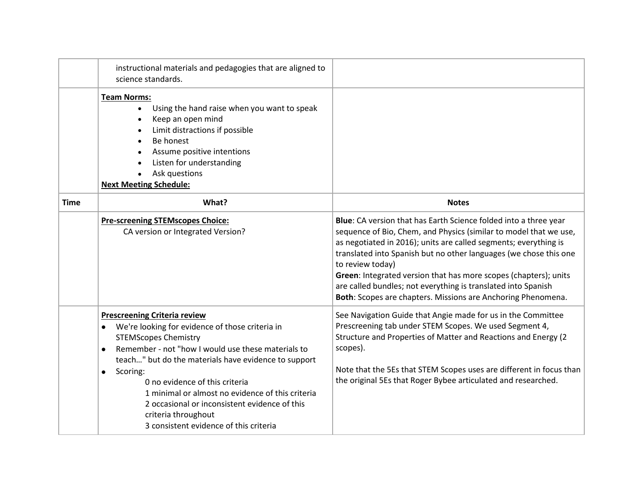|             | instructional materials and pedagogies that are aligned to<br>science standards.                                                                                                                                                                                                                                                                                                                                                                                                  |                                                                                                                                                                                                                                                                                                                                                                                                                                                                                                         |
|-------------|-----------------------------------------------------------------------------------------------------------------------------------------------------------------------------------------------------------------------------------------------------------------------------------------------------------------------------------------------------------------------------------------------------------------------------------------------------------------------------------|---------------------------------------------------------------------------------------------------------------------------------------------------------------------------------------------------------------------------------------------------------------------------------------------------------------------------------------------------------------------------------------------------------------------------------------------------------------------------------------------------------|
|             | <b>Team Norms:</b><br>Using the hand raise when you want to speak<br>$\bullet$<br>Keep an open mind<br>$\bullet$<br>Limit distractions if possible<br>$\bullet$<br>Be honest<br>$\bullet$<br>Assume positive intentions<br>$\bullet$<br>Listen for understanding<br>Ask questions<br><b>Next Meeting Schedule:</b>                                                                                                                                                                |                                                                                                                                                                                                                                                                                                                                                                                                                                                                                                         |
| <b>Time</b> | What?                                                                                                                                                                                                                                                                                                                                                                                                                                                                             | <b>Notes</b>                                                                                                                                                                                                                                                                                                                                                                                                                                                                                            |
|             | <b>Pre-screening STEMscopes Choice:</b><br>CA version or Integrated Version?                                                                                                                                                                                                                                                                                                                                                                                                      | Blue: CA version that has Earth Science folded into a three year<br>sequence of Bio, Chem, and Physics (similar to model that we use,<br>as negotiated in 2016); units are called segments; everything is<br>translated into Spanish but no other languages (we chose this one<br>to review today)<br>Green: Integrated version that has more scopes (chapters); units<br>are called bundles; not everything is translated into Spanish<br>Both: Scopes are chapters. Missions are Anchoring Phenomena. |
|             | <b>Prescreening Criteria review</b><br>We're looking for evidence of those criteria in<br><b>STEMScopes Chemistry</b><br>Remember - not "how I would use these materials to<br>$\bullet$<br>teach" but do the materials have evidence to support<br>Scoring:<br>$\bullet$<br>0 no evidence of this criteria<br>1 minimal or almost no evidence of this criteria<br>2 occasional or inconsistent evidence of this<br>criteria throughout<br>3 consistent evidence of this criteria | See Navigation Guide that Angie made for us in the Committee<br>Prescreening tab under STEM Scopes. We used Segment 4,<br>Structure and Properties of Matter and Reactions and Energy (2<br>scopes).<br>Note that the 5Es that STEM Scopes uses are different in focus than<br>the original 5Es that Roger Bybee articulated and researched.                                                                                                                                                            |